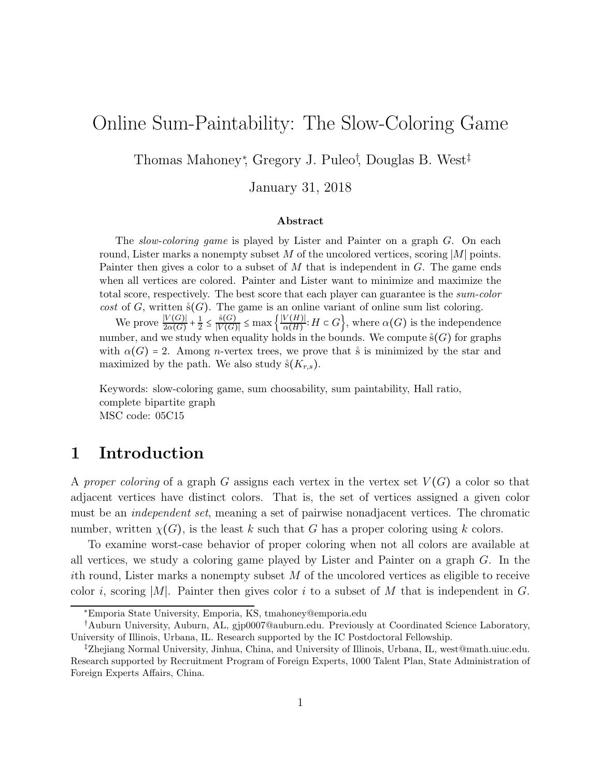# Online Sum-Paintability: The Slow-Coloring Game

Thomas Mahoney<sup>∗</sup> , Gregory J. Puleo† , Douglas B. West‡

January 31, 2018

#### Abstract

The *slow-coloring game* is played by Lister and Painter on a graph G. On each round, Lister marks a nonempty subset M of the uncolored vertices, scoring |M| points. Painter then gives a color to a subset of  $M$  that is independent in  $G$ . The game ends when all vertices are colored. Painter and Lister want to minimize and maximize the total score, respectively. The best score that each player can guarantee is the sum-color cost of G, written  $\dot{\mathbf{s}}(G)$ . The game is an online variant of online sum list coloring.

We prove  $\frac{|V(G)|}{2\alpha(G)} + \frac{1}{2}$  $\frac{1}{2} \leq \frac{\overset{\circ}{s}(G)}{|V(G)|} \leq \max\left\{\frac{|V(H)|}{\alpha(H)}\right\}$  $\left\{\frac{V(H)}{\alpha(H)}: H \in G\right\}$ , where  $\alpha(G)$  is the independence number, and we study when equality holds in the bounds. We compute  $\zeta(G)$  for graphs with  $\alpha(G) = 2$ . Among *n*-vertex trees, we prove that s is minimized by the star and maximized by the path. We also study  $\dot{s}(K_{r,s})$ .

Keywords: slow-coloring game, sum choosability, sum paintability, Hall ratio, complete bipartite graph MSC code: 05C15

## 1 Introduction

A *proper coloring* of a graph G assigns each vertex in the vertex set  $V(G)$  a color so that adjacent vertices have distinct colors. That is, the set of vertices assigned a given color must be an *independent set*, meaning a set of pairwise nonadjacent vertices. The chromatic number, written  $\chi(G)$ , is the least k such that G has a proper coloring using k colors.

To examine worst-case behavior of proper coloring when not all colors are available at all vertices, we study a coloring game played by Lister and Painter on a graph G. In the ith round, Lister marks a nonempty subset  $M$  of the uncolored vertices as eligible to receive color i, scoring |M|. Painter then gives color i to a subset of M that is independent in G.

<sup>∗</sup>Emporia State University, Emporia, KS, tmahoney@emporia.edu

<sup>†</sup>Auburn University, Auburn, AL, gjp0007@auburn.edu. Previously at Coordinated Science Laboratory, University of Illinois, Urbana, IL. Research supported by the IC Postdoctoral Fellowship.

<sup>‡</sup>Zhejiang Normal University, Jinhua, China, and University of Illinois, Urbana, IL, west@math.uiuc.edu. Research supported by Recruitment Program of Foreign Experts, 1000 Talent Plan, State Administration of Foreign Experts Affairs, China.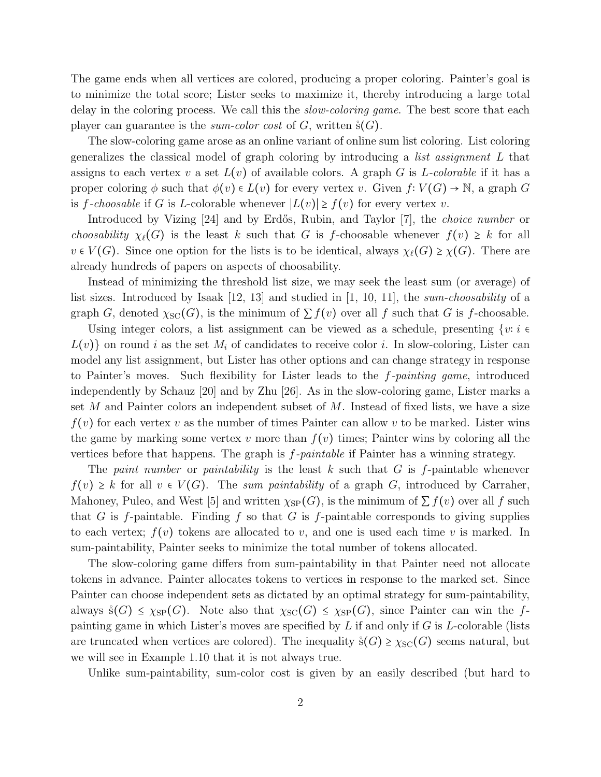The game ends when all vertices are colored, producing a proper coloring. Painter's goal is to minimize the total score; Lister seeks to maximize it, thereby introducing a large total delay in the coloring process. We call this the *slow-coloring game*. The best score that each player can guarantee is the *sum-color cost* of  $G$ , written  $\mathring{s}(G)$ .

The slow-coloring game arose as an online variant of online sum list coloring. List coloring generalizes the classical model of graph coloring by introducing a *list assignment* L that assigns to each vertex v a set  $L(v)$  of available colors. A graph G is L-colorable if it has a proper coloring  $\phi$  such that  $\phi(v) \in L(v)$  for every vertex v. Given  $f: V(G) \to \mathbb{N}$ , a graph G is f-choosable if G is L-colorable whenever  $|L(v)| \geq f(v)$  for every vertex v.

Introduced by Vizing [24] and by Erdős, Rubin, and Taylor [7], the *choice number* or *choosability*  $\chi_{\ell}(G)$  is the least k such that G is f-choosable whenever  $f(v) \geq k$  for all  $v \in V(G)$ . Since one option for the lists is to be identical, always  $\chi_{\ell}(G) \geq \chi(G)$ . There are already hundreds of papers on aspects of choosability.

Instead of minimizing the threshold list size, we may seek the least sum (or average) of list sizes. Introduced by Isaak [12, 13] and studied in [1, 10, 11], the *sum-choosability* of a graph G, denoted  $\chi_{\rm SC}(G)$ , is the minimum of  $\sum f(v)$  over all f such that G is f-choosable.

Using integer colors, a list assignment can be viewed as a schedule, presenting  $\{v : i \in \mathbb{N}\}$  $L(v)$  on round i as the set  $M_i$  of candidates to receive color i. In slow-coloring, Lister can model any list assignment, but Lister has other options and can change strategy in response to Painter's moves. Such flexibility for Lister leads to the f*-painting game*, introduced independently by Schauz [20] and by Zhu [26]. As in the slow-coloring game, Lister marks a set  $M$  and Painter colors an independent subset of  $M$ . Instead of fixed lists, we have a size  $f(v)$  for each vertex v as the number of times Painter can allow v to be marked. Lister wins the game by marking some vertex v more than  $f(v)$  times; Painter wins by coloring all the vertices before that happens. The graph is f*-paintable* if Painter has a winning strategy.

The *paint number* or *paintability* is the least k such that G is f-paintable whenever  $f(v) \geq k$  for all  $v \in V(G)$ . The *sum paintability* of a graph G, introduced by Carraher, Mahoney, Puleo, and West [5] and written  $\chi_{SP}(G)$ , is the minimum of  $\sum f(v)$  over all f such that G is f-paintable. Finding f so that G is f-paintable corresponds to giving supplies to each vertex;  $f(v)$  tokens are allocated to v, and one is used each time v is marked. In sum-paintability, Painter seeks to minimize the total number of tokens allocated.

The slow-coloring game differs from sum-paintability in that Painter need not allocate tokens in advance. Painter allocates tokens to vertices in response to the marked set. Since Painter can choose independent sets as dictated by an optimal strategy for sum-paintability, always  $\hat{s}(G) \leq \chi_{SP}(G)$ . Note also that  $\chi_{SC}(G) \leq \chi_{SP}(G)$ , since Painter can win the fpainting game in which Lister's moves are specified by  $L$  if and only if  $G$  is  $L$ -colorable (lists are truncated when vertices are colored). The inequality  $\hat{s}(G) \geq \chi_{\rm SC}(G)$  seems natural, but we will see in Example 1.10 that it is not always true.

Unlike sum-paintability, sum-color cost is given by an easily described (but hard to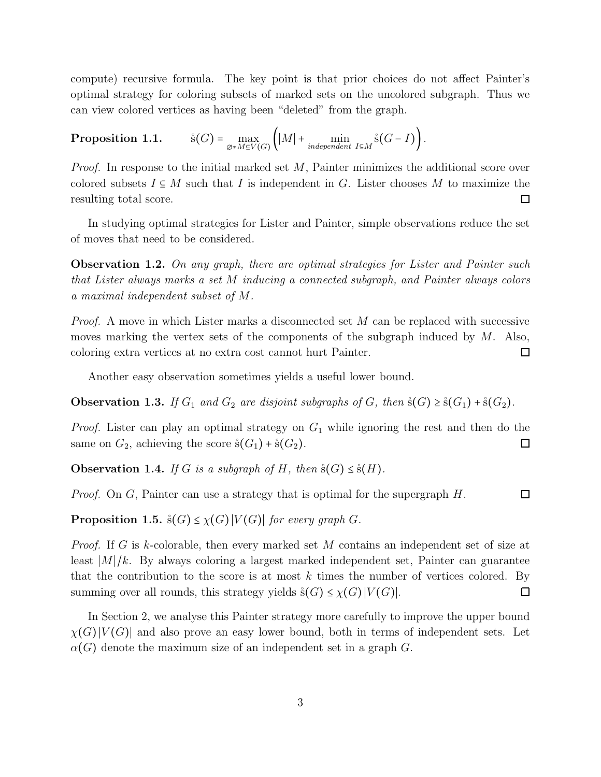compute) recursive formula. The key point is that prior choices do not affect Painter's optimal strategy for coloring subsets of marked sets on the uncolored subgraph. Thus we can view colored vertices as having been "deleted" from the graph.

**Proposition 1.1.** 
$$
\hat{s}(G) = \max_{\emptyset \neq M \subseteq V(G)} (|M| + \min_{\text{independent } I \subseteq M} \hat{s}(G - I)).
$$

*Proof.* In response to the initial marked set M, Painter minimizes the additional score over colored subsets  $I \subseteq M$  such that I is independent in G. Lister chooses M to maximize the resulting total score.  $\Box$ 

In studying optimal strategies for Lister and Painter, simple observations reduce the set of moves that need to be considered.

Observation 1.2. *On any graph, there are optimal strategies for Lister and Painter such that Lister always marks a set* M *inducing a connected subgraph, and Painter always colors a maximal independent subset of* M*.*

*Proof.* A move in which Lister marks a disconnected set M can be replaced with successive moves marking the vertex sets of the components of the subgraph induced by M. Also, coloring extra vertices at no extra cost cannot hurt Painter.  $\Box$ 

Another easy observation sometimes yields a useful lower bound.

**Observation 1.3.** *If*  $G_1$  *and*  $G_2$  *are disjoint subgraphs of*  $G$ *, then*  $\dot{s}(G) \geq \dot{s}(G_1) + \dot{s}(G_2)$ *.* 

*Proof.* Lister can play an optimal strategy on  $G_1$  while ignoring the rest and then do the same on  $G_2$ , achieving the score  $\dot{s}(G_1) + \dot{s}(G_2)$ .  $\Box$ 

**Observation 1.4.** *If* G *is a subgraph of* H, then  $\dot{s}(G) \leq \dot{s}(H)$ *.* 

 $\Box$ *Proof.* On G, Painter can use a strategy that is optimal for the supergraph H.

**Proposition 1.5.**  $\dot{s}(G) \leq \chi(G) |V(G)|$  *for every graph G.* 

*Proof.* If G is k-colorable, then every marked set M contains an independent set of size at least  $|M|/k$ . By always coloring a largest marked independent set, Painter can guarantee that the contribution to the score is at most  $k$  times the number of vertices colored. By summing over all rounds, this strategy yields  $\hat{s}(G) \leq \chi(G) |V(G)|$ .  $\Box$ 

In Section 2, we analyse this Painter strategy more carefully to improve the upper bound  $\chi(G) |V(G)|$  and also prove an easy lower bound, both in terms of independent sets. Let  $\alpha(G)$  denote the maximum size of an independent set in a graph G.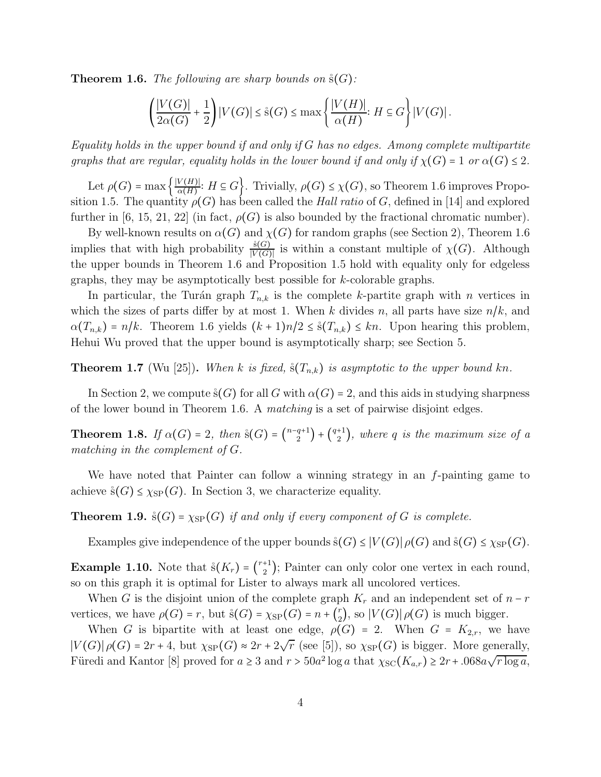**Theorem 1.6.** *The following are sharp bounds on*  $\dot{s}(G)$ *:* 

$$
\left(\frac{|V(G)|}{2\alpha(G)}+\frac{1}{2}\right)|V(G)| \leq \mathcal{S}(G) \leq \max\left\{\frac{|V(H)|}{\alpha(H)}: H \subseteq G\right\}|V(G)|.
$$

*Equality holds in the upper bound if and only if* G *has no edges. Among complete multipartite graphs that are regular, equality holds in the lower bound if and only if*  $\chi(G) = 1$  *or*  $\alpha(G) \leq 2$ *.* 

Let  $\rho(G) = \max\left\{\frac{|V(H)|}{\alpha(H)}\right\}$  $\frac{\mathcal{O}(H)}{\alpha(H)}$ :  $H \subseteq G$ . Trivially,  $\rho(G) \leq \chi(G)$ , so Theorem 1.6 improves Proposition 1.5. The quantity  $\rho(G)$  has been called the *Hall ratio* of G, defined in [14] and explored further in [6, 15, 21, 22] (in fact,  $\rho(G)$  is also bounded by the fractional chromatic number).

By well-known results on  $\alpha(G)$  and  $\chi(G)$  for random graphs (see Section 2), Theorem 1.6 implies that with high probability  $\frac{\hat{s}(G)}{|V(G)|}$  is within a constant multiple of  $\chi(G)$ . Although the upper bounds in Theorem 1.6 and Proposition 1.5 hold with equality only for edgeless graphs, they may be asymptotically best possible for k-colorable graphs.

In particular, the Turán graph  $T_{n,k}$  is the complete k-partite graph with n vertices in which the sizes of parts differ by at most 1. When k divides n, all parts have size  $n/k$ , and  $\alpha(T_{n,k}) = n/k$ . Theorem 1.6 yields  $(k+1)n/2 \leq s(T_{n,k}) \leq kn$ . Upon hearing this problem, Hehui Wu proved that the upper bound is asymptotically sharp; see Section 5.

**Theorem 1.7** (Wu [25]). When k is fixed,  $\dot{s}(T_{n,k})$  is asymptotic to the upper bound kn.

In Section 2, we compute  $\Im(G)$  for all G with  $\alpha(G) = 2$ , and this aids in studying sharpness of the lower bound in Theorem 1.6. A *matching* is a set of pairwise disjoint edges.

**Theorem 1.8.** *If*  $\alpha(G) = 2$ , then  $\ddot{\textbf{s}}(G) = \binom{n-q+1}{2} + \binom{q+1}{2}$ , where q is the maximum size of a *matching in the complement of* G*.*

We have noted that Painter can follow a winning strategy in an f-painting game to achieve  $\hat{s}(G) \leq \chi_{SP}(G)$ . In Section 3, we characterize equality.

**Theorem 1.9.**  $\dot{s}(G) = \chi_{SP}(G)$  *if and only if every component of* G *is complete.* 

Examples give independence of the upper bounds  $\hat{s}(G) \leq |V(G)| \rho(G)$  and  $\hat{s}(G) \leq \chi_{SP}(G)$ .

**Example 1.10.** Note that  $\dot{s}(K_r) = \binom{r+1}{2}$ ; Painter can only color one vertex in each round, so on this graph it is optimal for Lister to always mark all uncolored vertices.

When G is the disjoint union of the complete graph  $K_r$  and an independent set of  $n-r$ vertices, we have  $\rho(G) = r$ , but  $\hat{s}(G) = \chi_{SP}(G) = n + \binom{r}{2}$  $\binom{r}{2}$ , so  $|V(G)|\rho(G)$  is much bigger.

When G is bipartite with at least one edge,  $\rho(G) = 2$ . When  $G = K_{2,r}$ , we have  $|V(G)| \rho(G) = 2r + 4$ , but  $\chi_{SP}(G) \approx 2r + 2\sqrt{r}$  (see [5]), so  $\chi_{SP}(G)$  is bigger. More generally, Füredi and Kantor [8] proved for  $a \geq 3$  and  $r > 50a^2 \log a$  that  $\chi_{SC}(K_{a,r}) \geq 2r + .068a\sqrt{r \log a}$ ,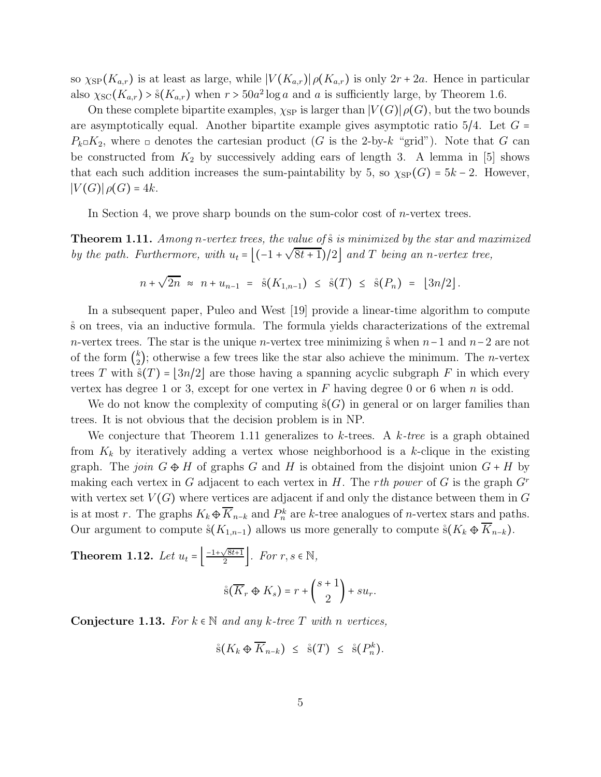so  $\chi_{SP}(K_{a,r})$  is at least as large, while  $|V(K_{a,r})| \rho(K_{a,r})$  is only  $2r + 2a$ . Hence in particular also  $\chi_{\rm SC}(K_{a,r}) > \mathcal{S}(K_{a,r})$  when  $r > 50a^2 \log a$  and a is sufficiently large, by Theorem 1.6.

On these complete bipartite examples,  $\chi_{SP}$  is larger than  $|V(G)| \rho(G)$ , but the two bounds are asymptotically equal. Another bipartite example gives asymptotic ratio  $5/4$ . Let  $G =$  $P_k \Box K_2$ , where  $\Box$  denotes the cartesian product (G is the 2-by-k "grid"). Note that G can be constructed from  $K_2$  by successively adding ears of length 3. A lemma in [5] shows that each such addition increases the sum-paintability by 5, so  $\chi_{SP}(G) = 5k - 2$ . However,  $|V(G)|\rho(G)=4k.$ 

In Section 4, we prove sharp bounds on the sum-color cost of *n*-vertex trees.

Theorem 1.11. *Among* n*-vertex trees, the value of*˚s *is minimized by the star and maximized by the path. Furthermore, with*  $u_t = \left[(-1 + \sqrt{8t+1})/2\right]$  *and*  $T$  *being an n*-vertex tree,

$$
n + \sqrt{2n} \approx n + u_{n-1} = \hat{s}(K_{1,n-1}) \leq \hat{s}(T) \leq \hat{s}(P_n) = [3n/2].
$$

In a subsequent paper, Puleo and West [19] provide a linear-time algorithm to compute ˚s on trees, via an inductive formula. The formula yields characterizations of the extremal n-vertex trees. The star is the unique n-vertex tree minimizing s° when  $n-1$  and  $n-2$  are not of the form  $\binom{k}{2}$  $\binom{k}{2}$ ; otherwise a few trees like the star also achieve the minimum. The *n*-vertex trees T with  $\mathcal{S}(T) = |3n/2|$  are those having a spanning acyclic subgraph F in which every vertex has degree 1 or 3, except for one vertex in  $F$  having degree 0 or 6 when  $n$  is odd.

We do not know the complexity of computing  $\dot{s}(G)$  in general or on larger families than trees. It is not obvious that the decision problem is in NP.

We conjecture that Theorem 1.11 generalizes to k-trees. A k*-tree* is a graph obtained from  $K_k$  by iteratively adding a vertex whose neighborhood is a k-clique in the existing graph. The *join*  $G \oplus H$  of graphs G and H is obtained from the disjoint union  $G + H$  by making each vertex in G adjacent to each vertex in H. The r*th power* of G is the graph G<sup>r</sup> with vertex set  $V(G)$  where vertices are adjacent if and only the distance between them in G is at most r. The graphs  $K_k \oplus \overline{K}_{n-k}$  and  $P_n^k$  are k-tree analogues of n-vertex stars and paths. Our argument to compute  $\hat{s}(K_{1,n-1})$  allows us more generally to compute  $\hat{s}(K_k \oplus K_{n-k})$ .

**Theorem 1.12.** Let 
$$
u_t = \left[ \frac{-1 + \sqrt{8t+1}}{2} \right]
$$
. For  $r, s \in \mathbb{N}$ ,  

$$
\overset{\circ}{\mathbf{s}}(\overline{K}_r \oplus K_s) = r + \binom{s+1}{2} + su_r.
$$

**Conjecture 1.13.** For  $k \in \mathbb{N}$  and any k-tree T with n vertices,

$$
\dot{\mathbf{s}}(K_k \oplus \overline{K}_{n-k}) \leq \dot{\mathbf{s}}(T) \leq \dot{\mathbf{s}}(P_n^k).
$$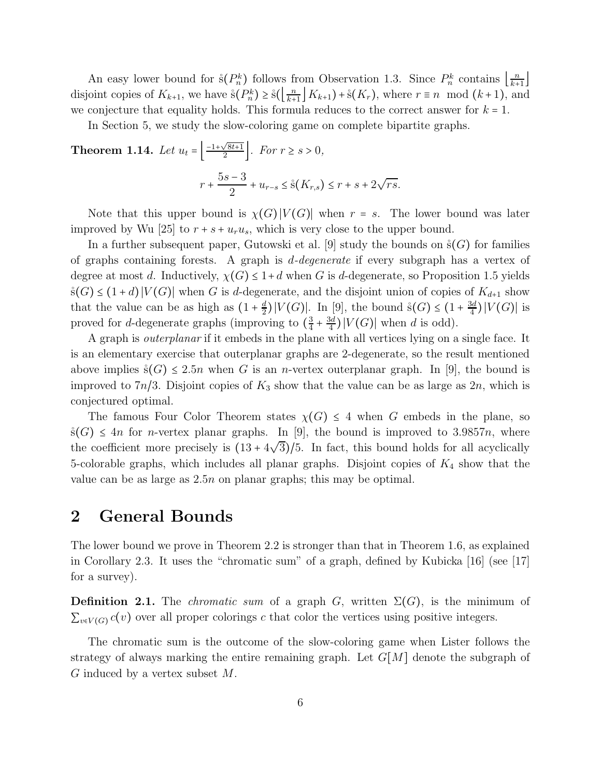An easy lower bound for  $\hat{s}(P_n^k)$  follows from Observation 1.3. Since  $P_n^k$  contains  $\left\lfloor \frac{n}{k+1} \right\rfloor$  $\frac{n}{k+1}$ disjoint copies of  $K_{k+1}$ , we have  $\hat{s}(P_n^k) \ge \hat{s}(\left\lfloor \frac{n}{k+1} \right\rfloor)$  $\frac{n}{k+1}$   $K_{k+1}$  +  $\dot{s}(K_r)$ , where  $r \equiv n \mod (k+1)$ , and we conjecture that equality holds. This formula reduces to the correct answer for  $k = 1$ .

In Section 5, we study the slow-coloring game on complete bipartite graphs.

**Theorem 1.14.** Let 
$$
u_t = \left[ \frac{-1 + \sqrt{8t+1}}{2} \right]
$$
. For  $r \ge s > 0$ ,  

$$
r + \frac{5s - 3}{2} + u_{r-s} \le \mathring{s}(K_{r,s}) \le r + s + 2\sqrt{rs}.
$$

Note that this upper bound is  $\chi(G)|V(G)|$  when  $r = s$ . The lower bound was later improved by Wu [25] to  $r + s + u_r u_s$ , which is very close to the upper bound.

In a further subsequent paper, Gutowski et al. [9] study the bounds on  $\mathcal{S}(G)$  for families of graphs containing forests. A graph is d*-degenerate* if every subgraph has a vertex of degree at most d. Inductively,  $\chi(G) \leq 1+d$  when G is d-degenerate, so Proposition 1.5 yields  $\hat{s}(G)$  ≤ (1 + d) |V(G)| when G is d-degenerate, and the disjoint union of copies of  $K_{d+1}$  show that the value can be as high as  $(1 + \frac{d}{2})$  $\frac{d}{2}$ )| $V(G)$ |. In [9], the bound  $\dot{s}(G) \leq (1 + \frac{3d}{4})$  $\frac{3d}{4}$ )  $|V(G)|$  is proved for *d*-degenerate graphs (improving to  $\left(\frac{3}{4}\right)$  $\frac{3}{4} + \frac{3d}{4}$  $\frac{3d}{4}$ )  $|V(G)|$  when d is odd).

A graph is *outerplanar* if it embeds in the plane with all vertices lying on a single face. It is an elementary exercise that outerplanar graphs are 2-degenerate, so the result mentioned above implies  $\dot{s}(G) \leq 2.5n$  when G is an *n*-vertex outerplanar graph. In [9], the bound is improved to  $7n/3$ . Disjoint copies of  $K_3$  show that the value can be as large as  $2n$ , which is conjectured optimal.

The famous Four Color Theorem states  $\chi(G) \leq 4$  when G embeds in the plane, so  $\Im(G) \leq 4n$  for *n*-vertex planar graphs. In [9], the bound is improved to 3.9857*n*, where the coefficient more precisely is  $(13 + 4\sqrt{3})/5$ . In fact, this bound holds for all acyclically 5-colorable graphs, which includes all planar graphs. Disjoint copies of  $K_4$  show that the value can be as large as 2.5n on planar graphs; this may be optimal.

### 2 General Bounds

The lower bound we prove in Theorem 2.2 is stronger than that in Theorem 1.6, as explained in Corollary 2.3. It uses the "chromatic sum" of a graph, defined by Kubicka [16] (see [17] for a survey).

**Definition 2.1.** The *chromatic sum* of a graph G, written  $\Sigma(G)$ , is the minimum of  $\sum_{v \in V(G)} c(v)$  over all proper colorings c that color the vertices using positive integers.

The chromatic sum is the outcome of the slow-coloring game when Lister follows the strategy of always marking the entire remaining graph. Let  $G[M]$  denote the subgraph of  $G$  induced by a vertex subset  $M$ .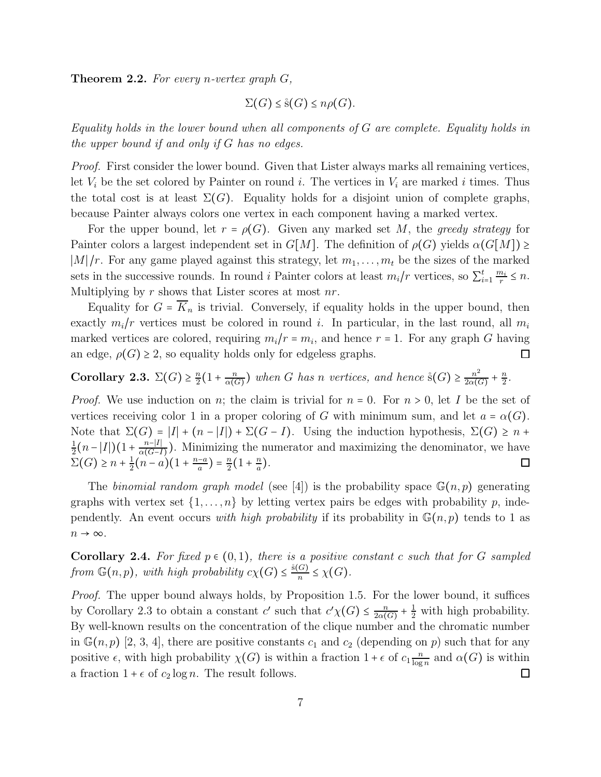Theorem 2.2. *For every* n*-vertex graph* G*,*

$$
\Sigma(G) \leq \mathring{\mathrm{s}}(G) \leq n\rho(G).
$$

*Equality holds in the lower bound when all components of* G *are complete. Equality holds in the upper bound if and only if* G *has no edges.*

*Proof.* First consider the lower bound. Given that Lister always marks all remaining vertices, let  $V_i$  be the set colored by Painter on round i. The vertices in  $V_i$  are marked i times. Thus the total cost is at least  $\Sigma(G)$ . Equality holds for a disjoint union of complete graphs, because Painter always colors one vertex in each component having a marked vertex.

For the upper bound, let  $r = \rho(G)$ . Given any marked set M, the *greedy strategy* for Painter colors a largest independent set in  $G[M]$ . The definition of  $\rho(G)$  yields  $\alpha(G[M]) \geq$  $|M|/r$ . For any game played against this strategy, let  $m_1, \ldots, m_t$  be the sizes of the marked sets in the successive rounds. In round i Painter colors at least  $m_i/r$  vertices, so  $\sum_{i=1}^{t} \frac{m_i}{r}$  $\frac{n_i}{r} \leq n.$ Multiplying by  $r$  shows that Lister scores at most  $nr$ .

Equality for  $G = \overline{K}_n$  is trivial. Conversely, if equality holds in the upper bound, then exactly  $m_i/r$  vertices must be colored in round i. In particular, in the last round, all  $m_i$ marked vertices are colored, requiring  $m_i/r = m_i$ , and hence  $r = 1$ . For any graph G having an edge,  $\rho(G) \geq 2$ , so equality holds only for edgeless graphs.  $\Box$ 

Corollary 2.3.  $\Sigma(G) \geq \frac{n}{2}$  $\frac{n}{2}(1+\frac{n}{\alpha(\zeta)}$  $\frac{n}{\alpha(G)}$ ) when *G* has *n* vertices, and hence  $\overset{\circ}{s}(G) \geq \frac{n^2}{2\alpha(G)}$  $\frac{n^2}{2\alpha(G)}+\frac{n}{2}$  $\frac{n}{2}$ .

*Proof.* We use induction on n; the claim is trivial for  $n = 0$ . For  $n > 0$ , let I be the set of vertices receiving color 1 in a proper coloring of G with minimum sum, and let  $a = \alpha(G)$ . Note that  $\Sigma(G) = |I| + (n - |I|) + \Sigma(G - I)$ . Using the induction hypothesis,  $\Sigma(G) \geq n +$ 1  $\frac{1}{2}(n-|I|)(1+\frac{n-|I|}{\alpha(G-1)}$  $\frac{n-|I|}{\alpha(G-I)}$ ). Minimizing the numerator and maximizing the denominator, we have  $\Sigma(G) \geq n + \frac{1}{2}$  $\frac{1}{2}(n-a)(1+\frac{n-a}{a})=\frac{n}{2}$  $\frac{n}{2}(1+\frac{n}{a})$  $\frac{n}{a}$ ).

The *binomial random graph model* (see [4]) is the probability space  $\mathbb{G}(n, p)$  generating graphs with vertex set  $\{1, \ldots, n\}$  by letting vertex pairs be edges with probability p, independently. An event occurs *with high probability* if its probability in  $\mathbb{G}(n, p)$  tends to 1 as  $n \to \infty$ .

**Corollary 2.4.** For fixed  $p \in (0, 1)$ , there is a positive constant c such that for G sampled *from*  $\mathbb{G}(n, p)$ *, with high probability*  $c\chi(G) \leq \frac{\hat{s}(G)}{n} \leq \chi(G)$ *.* 

*Proof.* The upper bound always holds, by Proposition 1.5. For the lower bound, it suffices by Corollary 2.3 to obtain a constant  $c'$  such that  $c'\chi(G) \leq \frac{n}{2\alpha(r)}$  $\frac{n}{2\alpha(G)} + \frac{1}{2}$  with high probability. By well-known results on the concentration of the clique number and the chromatic number in  $\mathbb{G}(n, p)$  [2, 3, 4], there are positive constants  $c_1$  and  $c_2$  (depending on p) such that for any positive  $\epsilon$ , with high probability  $\chi(G)$  is within a fraction  $1 + \epsilon$  of  $c_1 \frac{n}{\log n}$  $\frac{n}{\log n}$  and  $\alpha(G)$  is within a fraction  $1 + \epsilon$  of  $c_2 \log n$ . The result follows.  $\Box$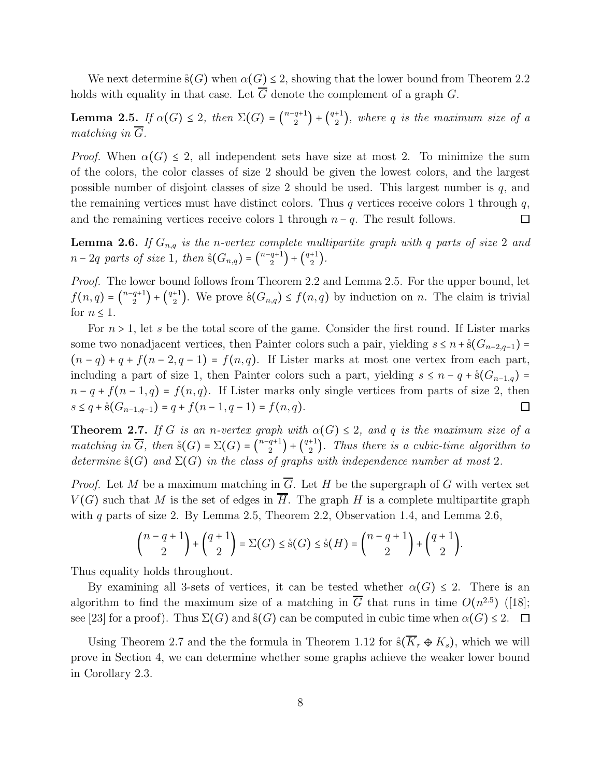We next determine  $\dot{s}(G)$  when  $\alpha(G) \leq 2$ , showing that the lower bound from Theorem 2.2 holds with equality in that case. Let  $\overline{G}$  denote the complement of a graph G.

**Lemma 2.5.** If  $\alpha(G) \leq 2$ , then  $\Sigma(G) = \binom{n-q+1}{2} + \binom{q+1}{2}$ , where q is the maximum size of a *matching in*  $\overline{G}$ *.* 

*Proof.* When  $\alpha(G) \leq 2$ , all independent sets have size at most 2. To minimize the sum of the colors, the color classes of size 2 should be given the lowest colors, and the largest possible number of disjoint classes of size 2 should be used. This largest number is  $q$ , and the remaining vertices must have distinct colors. Thus q vertices receive colors 1 through  $q$ , and the remaining vertices receive colors 1 through  $n - q$ . The result follows.  $\Box$ 

**Lemma 2.6.** If  $G_{n,q}$  is the n-vertex complete multipartite graph with q parts of size 2 and  $n-2q$  parts of size 1, then  $\Im(G_{n,q}) = {n-q+1 \choose 2} + {q+1 \choose 2}$ .

*Proof.* The lower bound follows from Theorem 2.2 and Lemma 2.5. For the upper bound, let  $f(n,q) = \binom{n-q+1}{2} + \binom{q+1}{2}$ . We prove  $\mathfrak{s}(G_{n,q}) \le f(n,q)$  by induction on n. The claim is trivial for  $n \leq 1$ .

For  $n > 1$ , let s be the total score of the game. Consider the first round. If Lister marks some two nonadjacent vertices, then Painter colors such a pair, yielding  $s \leq n + \hat{s}(G_{n-2,q-1}) =$  $(n - q) + q + f(n - 2, q - 1) = f(n, q)$ . If Lister marks at most one vertex from each part, including a part of size 1, then Painter colors such a part, yielding  $s \leq n - q + \hat{s}(G_{n-1,q}) =$  $n - q + f(n - 1, q) = f(n, q)$ . If Lister marks only single vertices from parts of size 2, then  $s \leq q + \hat{s}(G_{n-1,q-1}) = q + f(n-1,q-1) = f(n,q).$  $\Box$ 

**Theorem 2.7.** *If* G *is an n-vertex graph with*  $\alpha(G) \leq 2$ *, and* q *is the maximum size of a matching in*  $\overline{G}$ , then  $\zeta(G) = \sum(G) = {n-q+1 \choose 2} + {q+1 \choose 2}$ . Thus there is a cubic-time algorithm to *determine*  $\dot{s}(G)$  *and*  $\Sigma(G)$  *in the class of graphs with independence number at most* 2*.* 

*Proof.* Let M be a maximum matching in  $\overline{G}$ . Let H be the supergraph of G with vertex set  $V(G)$  such that M is the set of edges in H. The graph H is a complete multipartite graph with q parts of size 2. By Lemma 2.5, Theorem 2.2, Observation 1.4, and Lemma 2.6,

$$
\binom{n-q+1}{2} + \binom{q+1}{2} = \Sigma(G) \leq \mathring{\mathrm{s}}(G) \leq \mathring{\mathrm{s}}(H) = \binom{n-q+1}{2} + \binom{q+1}{2}.
$$

Thus equality holds throughout.

By examining all 3-sets of vertices, it can be tested whether  $\alpha(G) \leq 2$ . There is an algorithm to find the maximum size of a matching in  $\overline{G}$  that runs in time  $O(n^{2.5})$  ([18]; see [23] for a proof). Thus  $\Sigma(G)$  and  $\mathfrak{s}(G)$  can be computed in cubic time when  $\alpha(G) \leq 2$ .  $\Box$ 

Using Theorem 2.7 and the the formula in Theorem 1.12 for  $\zeta(\overline{K_r} \oplus K_s)$ , which we will prove in Section 4, we can determine whether some graphs achieve the weaker lower bound in Corollary 2.3.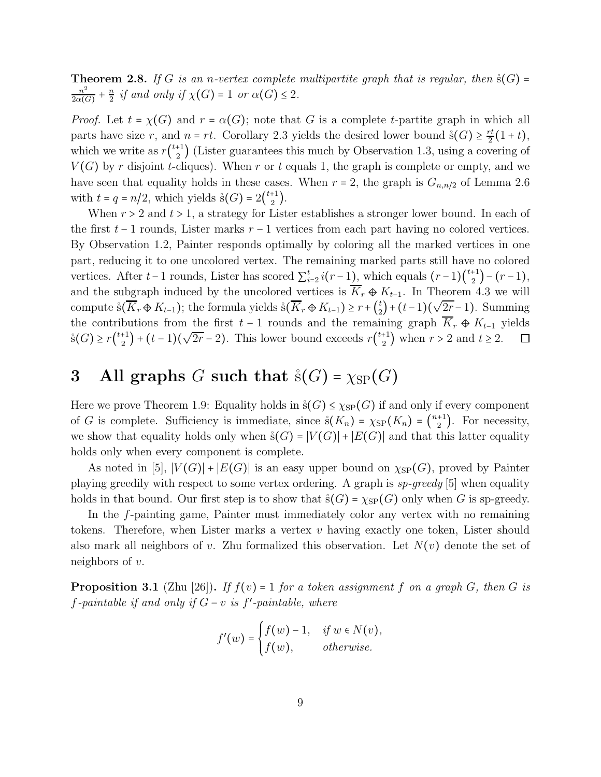**Theorem 2.8.** If G is an n-vertex complete multipartite graph that is regular, then  $\dot{s}(G)$  =  $n^2$  $\frac{n^2}{2\alpha(G)}+\frac{n}{2}$  $\frac{n}{2}$  *if and only if*  $\chi(G) = 1$  *or*  $\alpha(G) \leq 2$ *.* 

*Proof.* Let  $t = \chi(G)$  and  $r = \alpha(G)$ ; note that G is a complete t-partite graph in which all parts have size r, and  $n = rt$ . Corollary 2.3 yields the desired lower bound  $\hat{s}(G) \geq \frac{rt}{2}$  $\frac{r}{2}(1+t),$ which we write as  $r{\binom{t+1}{2}}$  (Lister guarantees this much by Observation 1.3, using a covering of  $V(G)$  by r disjoint t-cliques). When r or t equals 1, the graph is complete or empty, and we have seen that equality holds in these cases. When  $r = 2$ , the graph is  $G_{n,n/2}$  of Lemma 2.6 with  $t = q = n/2$ , which yields  $\mathring{s}(G) = 2\binom{t+1}{2}$ .

When  $r > 2$  and  $t > 1$ , a strategy for Lister establishes a stronger lower bound. In each of the first  $t-1$  rounds, Lister marks  $r-1$  vertices from each part having no colored vertices. By Observation 1.2, Painter responds optimally by coloring all the marked vertices in one part, reducing it to one uncolored vertex. The remaining marked parts still have no colored vertices. After  $t-1$  rounds, Lister has scored  $\sum_{i=1}^{t}$  $_{i=2}^{t} i(r-1)$ , which equals  $(r-1)\binom{t+1}{2} - (r-1)$ , and the subgraph induced by the uncolored vertices is  $\overline{K}_r \oplus K_{t-1}$ . In Theorem 4.3 we will  $\binom{t}{2} + (t-1)(\sqrt{2r} - 1)$ . Summing compute  $\hat{\mathbf{s}}(\overline{K}_r \oplus K_{t-1});$  the formula yields  $\hat{\mathbf{s}}(\overline{K}_r \oplus K_{t-1}) \geq r + \binom{t}{2}$ the contributions from the first  $t - 1$  rounds and the remaining graph  $\overline{K}_r \oplus K_{t-1}$  yields  $\hat{s}(G) \ge r\binom{t+1}{2} + (t-1)(\sqrt{2r}-2)$ . This lower bound exceeds  $r\binom{t+1}{2}$  when  $r > 2$  and  $t \ge 2$ .  $\Box$ 

# 3 All graphs G such that  $\dot{s}(G) = \chi_{SP}(G)$

Here we prove Theorem 1.9: Equality holds in  $\dot{s}(G) \leq \chi_{SP}(G)$  if and only if every component of G is complete. Sufficiency is immediate, since  $\hat{s}(K_n) = \chi_{SP}(K_n) = \binom{n+1}{2}$ . For necessity, we show that equality holds only when  $\dot{s}(G) = |V(G)| + |E(G)|$  and that this latter equality holds only when every component is complete.

As noted in [5],  $|V(G)| + |E(G)|$  is an easy upper bound on  $\chi_{SP}(G)$ , proved by Painter playing greedily with respect to some vertex ordering. A graph is *sp-greedy* [5] when equality holds in that bound. Our first step is to show that  $\hat{s}(G) = \chi_{SP}(G)$  only when G is sp-greedy.

In the f-painting game, Painter must immediately color any vertex with no remaining tokens. Therefore, when Lister marks a vertex  $v$  having exactly one token, Lister should also mark all neighbors of v. Zhu formalized this observation. Let  $N(v)$  denote the set of neighbors of  $v$ .

**Proposition 3.1** (Zhu [26]). *If*  $f(v) = 1$  *for a token assignment*  $f$  *on a graph*  $G$ *, then*  $G$  *is* f*-paintable if and only if* G − v *is* f ′ *-paintable, where*

$$
f'(w) = \begin{cases} f(w) - 1, & \text{if } w \in N(v), \\ f(w), & \text{otherwise.} \end{cases}
$$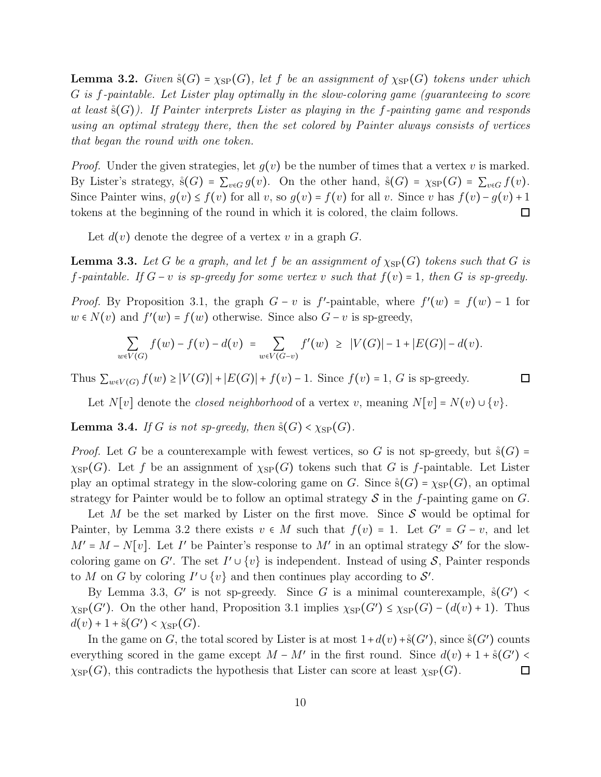**Lemma 3.2.** *Given*  $\dot{s}(G) = \chi_{SP}(G)$ *, let* f *be an assignment of*  $\chi_{SP}(G)$  *tokens under which* G *is* f*-paintable. Let Lister play optimally in the slow-coloring game (guaranteeing to score at least* ˚s(G)*). If Painter interprets Lister as playing in the* f*-painting game and responds using an optimal strategy there, then the set colored by Painter always consists of vertices that began the round with one token.*

*Proof.* Under the given strategies, let  $g(v)$  be the number of times that a vertex v is marked. By Lister's strategy,  $\dot{s}(G) = \sum_{v \in G} g(v)$ . On the other hand,  $\dot{s}(G) = \chi_{SP}(G) = \sum_{v \in G} f(v)$ . Since Painter wins,  $g(v) \le f(v)$  for all v, so  $g(v) = f(v)$  for all v. Since v has  $f(v) - g(v) + 1$ tokens at the beginning of the round in which it is colored, the claim follows.  $\Box$ 

Let  $d(v)$  denote the degree of a vertex v in a graph G.

**Lemma 3.3.** Let G be a graph, and let f be an assignment of  $\chi_{SP}(G)$  tokens such that G is *f*-paintable. If  $G - v$  is sp-greedy for some vertex v such that  $f(v) = 1$ , then G is sp-greedy.

*Proof.* By Proposition 3.1, the graph  $G - v$  is  $f'$ -paintable, where  $f'(w) = f(w) - 1$  for  $w \in N(v)$  and  $f'(w) = f(w)$  otherwise. Since also  $G - v$  is sp-greedy,

$$
\sum_{w \in V(G)} f(w) - f(v) - d(v) = \sum_{w \in V(G-v)} f'(w) \geq |V(G)| - 1 + |E(G)| - d(v).
$$

Thus  $\sum_{w \in V(G)} f(w) \ge |V(G)| + |E(G)| + f(v) - 1$ . Since  $f(v) = 1$ , G is sp-greedy.

 $\Box$ 

Let  $N[v]$  denote the *closed neighborhood* of a vertex v, meaning  $N[v] = N(v) \cup \{v\}$ .

**Lemma 3.4.** *If* G *is not sp-greedy, then*  $\dot{s}(G) < \chi_{SP}(G)$ *.* 

*Proof.* Let G be a counterexample with fewest vertices, so G is not sp-greedy, but  $\mathcal{S}(G)$  =  $\chi_{\rm SP}(G)$ . Let f be an assignment of  $\chi_{\rm SP}(G)$  tokens such that G is f-paintable. Let Lister play an optimal strategy in the slow-coloring game on G. Since  $\dot{s}(G) = \chi_{SP}(G)$ , an optimal strategy for Painter would be to follow an optimal strategy  $\mathcal S$  in the f-painting game on  $G$ .

Let M be the set marked by Lister on the first move. Since  $S$  would be optimal for Painter, by Lemma 3.2 there exists  $v \in M$  such that  $f(v) = 1$ . Let  $G' = G - v$ , and let  $M' = M - N[v]$ . Let I' be Painter's response to M' in an optimal strategy S' for the slowcoloring game on G'. The set  $I' \cup \{v\}$  is independent. Instead of using S, Painter responds to M on G by coloring  $I' \cup \{v\}$  and then continues play according to  $S'$ .

By Lemma 3.3, G' is not sp-greedy. Since G is a minimal counterexample,  $\mathring{s}(G')$  <  $\chi_{SP}(G')$ . On the other hand, Proposition 3.1 implies  $\chi_{SP}(G') \leq \chi_{SP}(G) - (d(v) + 1)$ . Thus  $d(v) + 1 + \dot{s}(G') < \chi_{SP}(G)$ .

In the game on G, the total scored by Lister is at most  $1+d(v)+\hat{s}(G')$ , since  $\hat{s}(G')$  counts everything scored in the game except  $M - M'$  in the first round. Since  $d(v) + 1 + \dot{s}(G')$  <  $\chi_{SP}(G)$ , this contradicts the hypothesis that Lister can score at least  $\chi_{SP}(G)$ .  $\Box$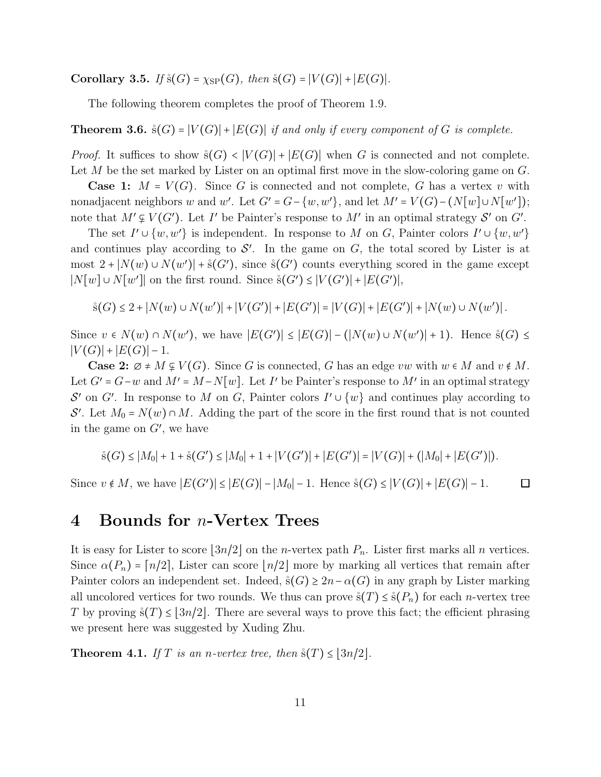**Corollary 3.5.** *If*  $\hat{s}(G) = \chi_{SP}(G)$ *, then*  $\hat{s}(G) = |V(G)| + |E(G)|$ *.* 

The following theorem completes the proof of Theorem 1.9.

**Theorem 3.6.**  $\dot{s}(G) = |V(G)| + |E(G)|$  *if and only if every component of* G *is complete.* 

*Proof.* It suffices to show  $\hat{s}(G) < |V(G)| + |E(G)|$  when G is connected and not complete. Let  $M$  be the set marked by Lister on an optimal first move in the slow-coloring game on  $G$ .

**Case 1:**  $M = V(G)$ . Since G is connected and not complete, G has a vertex v with nonadjacent neighbors w and w'. Let  $G' = G - \{w, w'\}$ , and let  $M' = V(G) - (N[w] \cup N[w'])$ ; note that  $M' \not\subseteq V(G')$ . Let I' be Painter's response to  $M'$  in an optimal strategy  $S'$  on  $G'$ .

The set  $I' \cup \{w, w'\}$  is independent. In response to M on G, Painter colors  $I' \cup \{w, w'\}$ and continues play according to  $\mathcal{S}'$ . In the game on  $G$ , the total scored by Lister is at most  $2 + |N(w) \cup N(w')| + \hat{s}(G')$ , since  $\hat{s}(G')$  counts everything scored in the game except  $|N[w] \cup N[w']|$  on the first round. Since  $\dot{s}(G') \leq |V(G')| + |E(G')|$ ,

$$
\hat{s}(G) \le 2 + |N(w) \cup N(w')| + |V(G')| + |E(G')| = |V(G)| + |E(G')| + |N(w) \cup N(w')|.
$$

Since  $v \in N(w) \cap N(w')$ , we have  $|E(G')| \leq |E(G)| - (|N(w) \cup N(w')| + 1)$ . Hence  $\mathcal{S}(G) \leq$  $|V(G)| + |E(G)| - 1.$ 

**Case 2:**  $\emptyset \neq M \nsubseteq V(G)$ . Since G is connected, G has an edge vw with  $w \in M$  and  $v \notin M$ . Let  $G' = G - w$  and  $M' = M - N[w]$ . Let I' be Painter's response to  $M'$  in an optimal strategy  $\mathcal{S}'$  on  $G'$ . In response to M on G, Painter colors  $I' \cup \{w\}$  and continues play according to S'. Let  $M_0 = N(w) \cap M$ . Adding the part of the score in the first round that is not counted in the game on  $G'$ , we have

$$
\dot{s}(G) \le |M_0| + 1 + \dot{s}(G') \le |M_0| + 1 + |V(G')| + |E(G')| = |V(G)| + (|M_0| + |E(G')|).
$$

Since  $v \notin M$ , we have  $|E(G')| \leq |E(G)| - |M_0| - 1$ . Hence  $\hat{s}(G) \leq |V(G)| + |E(G)| - 1$ .  $\Box$ 

#### 4 Bounds for n-Vertex Trees

It is easy for Lister to score  $|3n/2|$  on the *n*-vertex path  $P_n$ . Lister first marks all *n* vertices. Since  $\alpha(P_n) = \lfloor n/2 \rfloor$ , Lister can score  $\lfloor n/2 \rfloor$  more by marking all vertices that remain after Painter colors an independent set. Indeed,  $\dot{s}(G) \geq 2n - \alpha(G)$  in any graph by Lister marking all uncolored vertices for two rounds. We thus can prove  $\hat{s}(T) \leq \hat{s}(P_n)$  for each *n*-vertex tree T by proving  $\zeta(T) \leq |3n/2|$ . There are several ways to prove this fact; the efficient phrasing we present here was suggested by Xuding Zhu.

**Theorem 4.1.** *If* T *is an n-vertex tree, then*  $\dot{s}(T) \leq |3n/2|$ *.*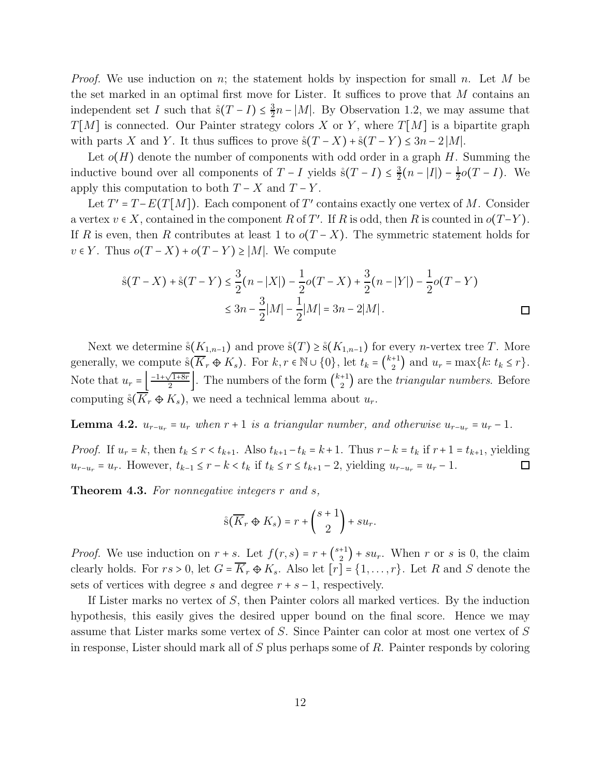*Proof.* We use induction on n; the statement holds by inspection for small n. Let M be the set marked in an optimal first move for Lister. It suffices to prove that  $M$  contains an independent set I such that  $\hat{s}(T - I) \leq \frac{3}{2}$  $\frac{3}{2}n - |M|$ . By Observation 1.2, we may assume that  $T[M]$  is connected. Our Painter strategy colors X or Y, where  $T[M]$  is a bipartite graph with parts X and Y. It thus suffices to prove  $\frac{s(T-X) + s(T-Y)}{T-Y} \leq 3n - 2|M|$ .

Let  $o(H)$  denote the number of components with odd order in a graph H. Summing the inductive bound over all components of  $T - I$  yields  $\frac{s(T - I)}{2}$  $\frac{3}{2}(n-|I|) - \frac{1}{2}$  $\frac{1}{2}o(T-I)$ . We apply this computation to both  $T - X$  and  $T - Y$ .

Let  $T' = T - E(T[M])$ . Each component of T' contains exactly one vertex of M. Consider a vertex  $v \in X$ , contained in the component R of T'. If R is odd, then R is counted in  $o(T-Y)$ . If R is even, then R contributes at least 1 to  $o(T-X)$ . The symmetric statement holds for  $v \in Y$ . Thus  $o(T - X) + o(T - Y) \geq |M|$ . We compute

$$
\hat{s}(T - X) + \hat{s}(T - Y) \le \frac{3}{2}(n - |X|) - \frac{1}{2}o(T - X) + \frac{3}{2}(n - |Y|) - \frac{1}{2}o(T - Y)
$$
  

$$
\le 3n - \frac{3}{2}|M| - \frac{1}{2}|M| = 3n - 2|M|.
$$

Next we determine  $\mathring{s}(K_{1,n-1})$  and prove  $\mathring{s}(T) \geq \mathring{s}(K_{1,n-1})$  for every *n*-vertex tree T. More generally, we compute  $\hat{s}(K_r \oplus K_s)$ . For  $k, r \in \mathbb{N} \cup \{0\}$ , let  $t_k = \binom{k+1}{2}$  and  $u_r = \max\{k: t_k \leq r\}$ . Note that  $u_r = \left(\frac{-1 + \sqrt{1+8r}}{2}\right)$ . The numbers of the form  $\binom{k+1}{2}$  are the *triangular numbers*. Before computing  $\hat{s}(\overline{K_r} \oplus K_s)$ , we need a technical lemma about  $u_r$ .

**Lemma 4.2.**  $u_{r-u_r} = u_r$  when  $r+1$  is a triangular number, and otherwise  $u_{r-u_r} = u_r - 1$ .

*Proof.* If  $u_r = k$ , then  $t_k \leq r < t_{k+1}$ . Also  $t_{k+1} - t_k = k+1$ . Thus  $r - k = t_k$  if  $r + 1 = t_{k+1}$ , yielding  $u_{r-u_r} = u_r$ . However,  $t_{k-1} \leq r - k < t_k$  if  $t_k \leq r \leq t_{k+1} - 2$ , yielding  $u_{r-u_r} = u_r - 1$ .  $\Box$ 

Theorem 4.3. *For nonnegative integers* r *and* s*,*

$$
\overset{\circ}{\mathrm{s}}\left(\overline{K}_r\oplus K_s\right)=r+\binom{s+1}{2}+su_r.
$$

*Proof.* We use induction on  $r + s$ . Let  $f(r, s) = r + {s+1 \choose 2} + su_r$ . When r or s is 0, the claim clearly holds. For  $rs > 0$ , let  $G = \overline{K_r} \oplus K_s$ . Also let  $[r] = \{1, \ldots, r\}$ . Let R and S denote the sets of vertices with degree s and degree  $r + s - 1$ , respectively.

If Lister marks no vertex of S, then Painter colors all marked vertices. By the induction hypothesis, this easily gives the desired upper bound on the final score. Hence we may assume that Lister marks some vertex of S. Since Painter can color at most one vertex of S in response, Lister should mark all of  $S$  plus perhaps some of  $R$ . Painter responds by coloring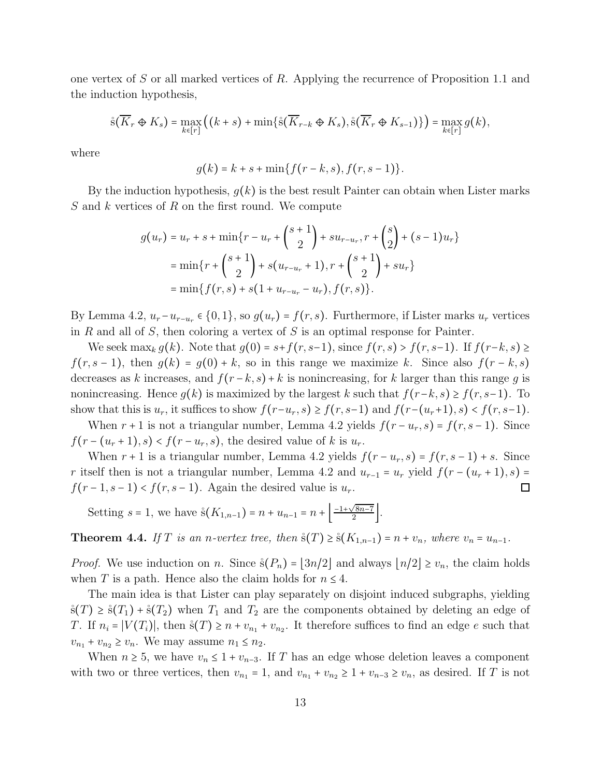one vertex of S or all marked vertices of R. Applying the recurrence of Proposition 1.1 and the induction hypothesis,

$$
\mathring{\mathrm{s}}(\overline{K}_r\oplus K_s)=\max_{k\in[r]}\big((k+s)+\min\{\mathring{\mathrm{s}}(\overline{K}_{r-k}\oplus K_s),\mathring{\mathrm{s}}(\overline{K}_r\oplus K_{s-1})\}\big)=\max_{k\in[r]}g(k),
$$

where

$$
g(k) = k + s + \min\{f(r - k, s), f(r, s - 1)\}.
$$

By the induction hypothesis,  $q(k)$  is the best result Painter can obtain when Lister marks S and k vertices of R on the first round. We compute

$$
g(u_r) = u_r + s + \min\{r - u_r + {s+1 \choose 2} + su_{r-u_r}, r + {s \choose 2} + (s-1)u_r\}
$$
  
= 
$$
\min\{r + {s+1 \choose 2} + s(u_{r-u_r} + 1), r + {s+1 \choose 2} + su_r\}
$$
  
= 
$$
\min\{f(r, s) + s(1 + u_{r-u_r} - u_r), f(r, s)\}.
$$

By Lemma 4.2,  $u_r - u_{r-u_r} \in \{0, 1\}$ , so  $g(u_r) = f(r, s)$ . Furthermore, if Lister marks  $u_r$  vertices in R and all of S, then coloring a vertex of S is an optimal response for Painter.

We seek max<sub>k</sub>  $g(k)$ . Note that  $g(0) = s+f(r, s-1)$ , since  $f(r, s) > f(r, s-1)$ . If  $f(r-k, s) \ge$  $f(r, s-1)$ , then  $g(k) = g(0) + k$ , so in this range we maximize k. Since also  $f(r - k, s)$ decreases as k increases, and  $f(r-k, s)+k$  is nonincreasing, for k larger than this range q is nonincreasing. Hence  $g(k)$  is maximized by the largest k such that  $f(r-k, s) \geq f(r, s-1)$ . To show that this is  $u_r$ , it suffices to show  $f(r-u_r, s) \ge f(r, s-1)$  and  $f(r-(u_r+1), s) < f(r, s-1)$ .

When  $r + 1$  is not a triangular number, Lemma 4.2 yields  $f(r - u_r, s) = f(r, s - 1)$ . Since  $f(r-(u_r+1),s) < f(r-u_r,s)$ , the desired value of k is  $u_r$ .

When  $r + 1$  is a triangular number, Lemma 4.2 yields  $f(r - u_r, s) = f(r, s - 1) + s$ . Since r itself then is not a triangular number, Lemma 4.2 and  $u_{r-1} = u_r$  yield  $f(r - (u_r + 1), s) =$  $f(r-1, s-1) < f(r, s-1)$ . Again the desired value is  $u_r$ .  $\Box$ 

Setting  $s = 1$ , we have  $\hat{s}(K_{1,n-1}) = n + u_{n-1} = n + \left| \frac{-1 + \sqrt{8n-7}}{2} \right|$ .

Theorem 4.4. *If* T *is an n-vertex tree, then*  $\dot{s}(T) \geq \dot{s}(K_{1,n-1}) = n + v_n$ *, where*  $v_n = u_{n-1}$ *.* 

*Proof.* We use induction on n. Since  $\dot{s}(P_n) = \lfloor 3n/2 \rfloor$  and always  $\lfloor n/2 \rfloor \ge v_n$ , the claim holds when T is a path. Hence also the claim holds for  $n \leq 4$ .

The main idea is that Lister can play separately on disjoint induced subgraphs, yielding  $\dot{s}(T) \geq \dot{s}(T_1) + \dot{s}(T_2)$  when  $T_1$  and  $T_2$  are the components obtained by deleting an edge of T. If  $n_i = |V(T_i)|$ , then  $\dot{s}(T) \geq n + v_{n_1} + v_{n_2}$ . It therefore suffices to find an edge e such that  $v_{n_1} + v_{n_2} \ge v_n$ . We may assume  $n_1 \le n_2$ .

When  $n \geq 5$ , we have  $v_n \leq 1 + v_{n-3}$ . If T has an edge whose deletion leaves a component with two or three vertices, then  $v_{n_1} = 1$ , and  $v_{n_1} + v_{n_2} \ge 1 + v_{n-3} \ge v_n$ , as desired. If T is not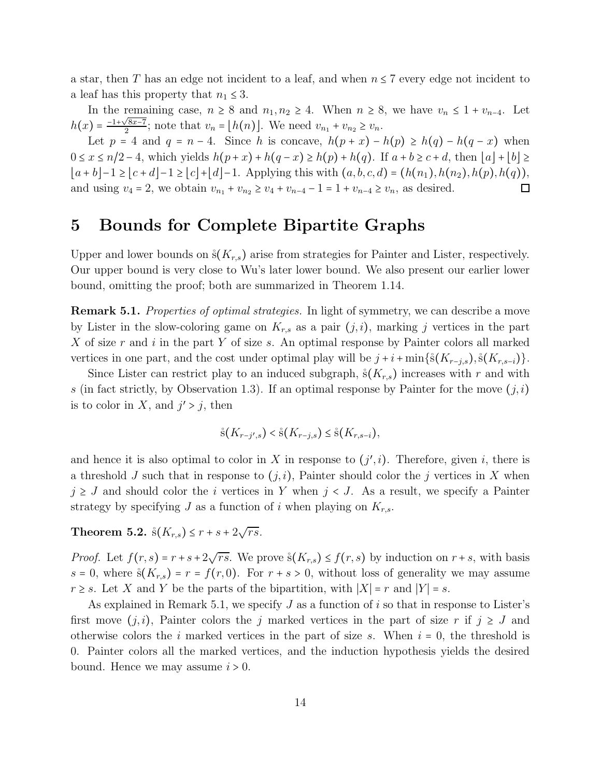a star, then T has an edge not incident to a leaf, and when  $n \leq 7$  every edge not incident to a leaf has this property that  $n_1 \leq 3$ .

In the remaining case,  $n \geq 8$  and  $n_1, n_2 \geq 4$ . When  $n \geq 8$ , we have  $v_n \leq 1 + v_{n-4}$ . Let  $h(x) = \frac{-1 + \sqrt{8x-7}}{2}$ ; note that  $v_n = [h(n)]$ . We need  $v_{n_1} + v_{n_2} \ge v_n$ .

Let  $p = 4$  and  $q = n - 4$ . Since h is concave,  $h(p + x) - h(p) \ge h(q) - h(q - x)$  when  $0 \le x \le n/2 - 4$ , which yields  $h(p+x) + h(q-x) \ge h(p) + h(q)$ . If  $a+b \ge c+d$ , then  $|a|+|b| \ge$  $|a + b| - 1 \ge |c + d| - 1 \ge |c| + |d| - 1$ . Applying this with  $(a, b, c, d) = (h(n_1), h(n_2), h(p), h(q)),$ and using  $v_4 = 2$ , we obtain  $v_{n_1} + v_{n_2} \ge v_4 + v_{n-4} - 1 = 1 + v_{n-4} \ge v_n$ , as desired.  $\Box$ 

### 5 Bounds for Complete Bipartite Graphs

Upper and lower bounds on  $\zeta(K_{r,s})$  arise from strategies for Painter and Lister, respectively. Our upper bound is very close to Wu's later lower bound. We also present our earlier lower bound, omitting the proof; both are summarized in Theorem 1.14.

Remark 5.1. *Properties of optimal strategies.* In light of symmetry, we can describe a move by Lister in the slow-coloring game on  $K_{r,s}$  as a pair  $(j,i)$ , marking j vertices in the part X of size r and i in the part Y of size s. An optimal response by Painter colors all marked vertices in one part, and the cost under optimal play will be  $j + i + \min\{\hat{s}(K_{r-j,s}), \hat{s}(K_{r,s-i})\}.$ 

Since Lister can restrict play to an induced subgraph,  $\hat{s}(K_{r,s})$  increases with r and with s (in fact strictly, by Observation 1.3). If an optimal response by Painter for the move  $(j, i)$ is to color in X, and  $j' > j$ , then

$$
\mathring{\mathrm{s}}(K_{r-j',s}) < \mathring{\mathrm{s}}(K_{r-j,s}) \leq \mathring{\mathrm{s}}(K_{r,s-i}),
$$

and hence it is also optimal to color in X in response to  $(j', i)$ . Therefore, given i, there is a threshold J such that in response to  $(j, i)$ , Painter should color the j vertices in X when  $j \geq J$  and should color the i vertices in Y when  $j < J$ . As a result, we specify a Painter strategy by specifying J as a function of i when playing on  $K_{r,s}$ .

**Theorem 5.2.**  $\dot{s}(K_{r,s}) \leq r + s + 2\sqrt{rs}$ .

*Proof.* Let  $f(r, s) = r + s + 2\sqrt{rs}$ . We prove  $\dot{s}(K_{r,s}) \le f(r, s)$  by induction on  $r + s$ , with basis  $s = 0$ , where  $\dot{s}(K_{r,s}) = r = f(r,0)$ . For  $r + s > 0$ , without loss of generality we may assume  $r \geq s$ . Let X and Y be the parts of the bipartition, with  $|X| = r$  and  $|Y| = s$ .

As explained in Remark 5.1, we specify J as a function of i so that in response to Lister's first move  $(j, i)$ , Painter colors the j marked vertices in the part of size r if  $j \geq J$  and otherwise colors the i marked vertices in the part of size s. When  $i = 0$ , the threshold is 0. Painter colors all the marked vertices, and the induction hypothesis yields the desired bound. Hence we may assume  $i > 0$ .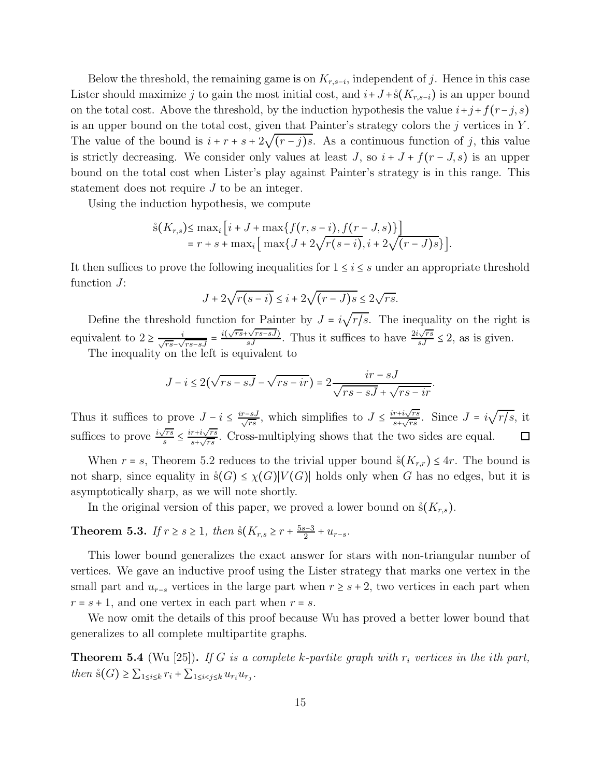Below the threshold, the remaining game is on  $K_{r,s-i}$ , independent of j. Hence in this case Lister should maximize j to gain the most initial cost, and  $i+J+\hat{s}(K_{r,s-i})$  is an upper bound on the total cost. Above the threshold, by the induction hypothesis the value  $i+j+f(r-j, s)$ is an upper bound on the total cost, given that Painter's strategy colors the  $j$  vertices in Y. The value of the bound is  $i + r + s + 2\sqrt{(r-j)s}$ . As a continuous function of j, this value is strictly decreasing. We consider only values at least  $J$ , so  $i + J + f(r - J, s)$  is an upper bound on the total cost when Lister's play against Painter's strategy is in this range. This statement does not require J to be an integer.

Using the induction hypothesis, we compute

$$
\hat{s}(K_{r,s}) \le \max_{i} \left[ i + J + \max \{ f(r, s - i), f(r - J, s) \} \right] = r + s + \max_{i} \left[ \max \{ J + 2\sqrt{r(s - i)}, i + 2\sqrt{(r - J)s} \} \right].
$$

It then suffices to prove the following inequalities for  $1 \leq i \leq s$  under an appropriate threshold function  $J$ :

$$
J + 2\sqrt{r(s-i)} \le i + 2\sqrt{(r-J)s} \le 2\sqrt{rs}.
$$

Define the threshold function for Painter by  $J = i\sqrt{r/s}$ . The inequality on the right is equivalent to  $2 \ge \frac{i}{\sqrt{rs} - \sqrt{rs-sJ}} = \frac{i(\sqrt{rs} + \sqrt{rs-sJ})}{sJ}$ . Thus it suffices to have  $\frac{2i\sqrt{rs}}{sJ} \le 2$ , as is given.

The inequality on the left is equivalent to

$$
J - i \le 2(\sqrt{rs - sJ} - \sqrt{rs - ir}) = 2\frac{ir - sJ}{\sqrt{rs - sJ} + \sqrt{rs - ir}}
$$

.

 $rac{r+i\sqrt{rs}}{s+\sqrt{rs}}$ . Since  $J = i\sqrt{r/s}$ , it Thus it suffices to prove  $J - i \leq \frac{ir - sJ}{\sqrt{rs}}$ , which simplifies to  $J \leq \frac{ir + i\sqrt{rs}}{s + \sqrt{rs}}$ suffices to prove  $\frac{i\sqrt{rs}}{s}$  $\frac{\sqrt{rs}}{s} \leq \frac{ir+i\sqrt{rs}}{s+\sqrt{rs}}$  $\frac{r+i\sqrt{rs}}{s+\sqrt{rs}}$ . Cross-multiplying shows that the two sides are equal.  $\Box$ 

When  $r = s$ , Theorem 5.2 reduces to the trivial upper bound  $\hat{s}(K_{r,r}) \leq 4r$ . The bound is not sharp, since equality in  $\Im(G) \leq \chi(G)|V(G)|$  holds only when G has no edges, but it is asymptotically sharp, as we will note shortly.

In the original version of this paper, we proved a lower bound on  $\hat{\mathbf{s}}(K_{r,s})$ .

**Theorem 5.3.** *If*  $r \ge s \ge 1$ , *then*  $\overset{s}{s}(K_{r,s} \ge r + \frac{5s-3}{2} + u_{r-s})$ .

This lower bound generalizes the exact answer for stars with non-triangular number of vertices. We gave an inductive proof using the Lister strategy that marks one vertex in the small part and  $u_{r-s}$  vertices in the large part when  $r \geq s+2$ , two vertices in each part when  $r = s + 1$ , and one vertex in each part when  $r = s$ .

We now omit the details of this proof because Wu has proved a better lower bound that generalizes to all complete multipartite graphs.

**Theorem 5.4** (Wu [25]). If G is a complete k-partite graph with  $r_i$  vertices in the ith part,  $then \ \S(G) \geq \sum_{1 \leq i \leq k} r_i + \sum_{1 \leq i < j \leq k} u_{r_i} u_{r_j}.$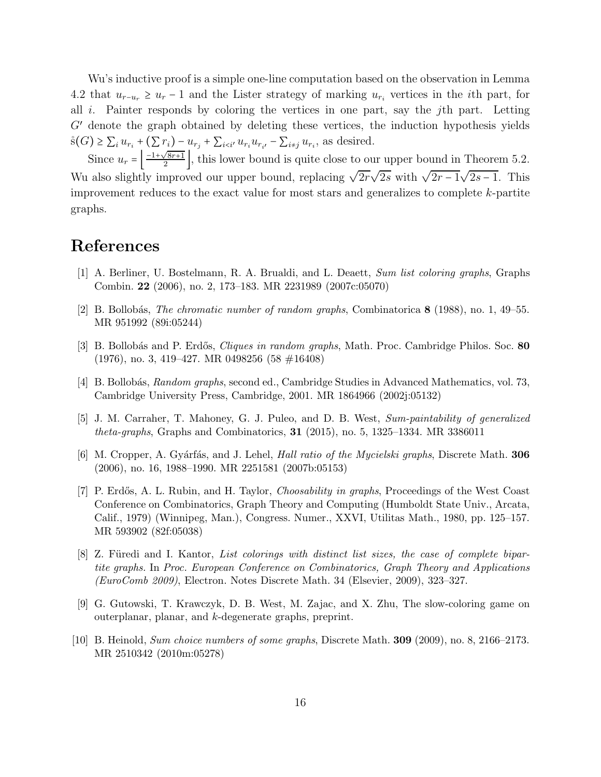Wu's inductive proof is a simple one-line computation based on the observation in Lemma 4.2 that  $u_{r-u_r} \geq u_r - 1$  and the Lister strategy of marking  $u_{r_i}$  vertices in the *i*th part, for all  $i$ . Painter responds by coloring the vertices in one part, say the j<sup>th</sup> part. Letting  $G'$  denote the graph obtained by deleting these vertices, the induction hypothesis yields  $\hat{s}(G) \geq \sum_{i} u_{r_i} + (\sum r_i) - u_{r_j} + \sum_{i \leq i'} u_{r_i} u_{r_{i'}} - \sum_{i \neq j} u_{r_i}$ , as desired.

Since  $u_r = \left(\frac{-1+\sqrt{8r+1}}{2}\right)$ , this lower bound is quite close to our upper bound in Theorem 5.2. Wu also slightly improved our upper bound, replacing  $\sqrt{2r}\sqrt{2s}$  with  $\sqrt{2r-1}\sqrt{2s-1}$ . This improvement reduces to the exact value for most stars and generalizes to complete k-partite graphs.

# References

- [1] A. Berliner, U. Bostelmann, R. A. Brualdi, and L. Deaett, Sum list coloring graphs, Graphs Combin. 22 (2006), no. 2, 173–183. MR 2231989 (2007c:05070)
- [2] B. Bollobás, *The chromatic number of random graphs*, Combinatorica  $8$  (1988), no. 1, 49–55. MR 951992 (89i:05244)
- [3] B. Bollobás and P. Erdős, *Cliques in random graphs*, Math. Proc. Cambridge Philos. Soc. 80 (1976), no. 3, 419–427. MR 0498256 (58 #16408)
- [4] B. Bollobás, Random graphs, second ed., Cambridge Studies in Advanced Mathematics, vol. 73, Cambridge University Press, Cambridge, 2001. MR 1864966 (2002j:05132)
- [5] J. M. Carraher, T. Mahoney, G. J. Puleo, and D. B. West, Sum-paintability of generalized theta-graphs, Graphs and Combinatorics, 31 (2015), no. 5, 1325–1334. MR 3386011
- [6] M. Cropper, A. Gyárfás, and J. Lehel, *Hall ratio of the Mycielski graphs*, Discrete Math. **306** (2006), no. 16, 1988–1990. MR 2251581 (2007b:05153)
- [7] P. Erdős, A. L. Rubin, and H. Taylor, *Choosability in graphs*, Proceedings of the West Coast Conference on Combinatorics, Graph Theory and Computing (Humboldt State Univ., Arcata, Calif., 1979) (Winnipeg, Man.), Congress. Numer., XXVI, Utilitas Math., 1980, pp. 125–157. MR 593902 (82f:05038)
- [8] Z. Füredi and I. Kantor, List colorings with distinct list sizes, the case of complete bipartite graphs. In Proc. European Conference on Combinatorics, Graph Theory and Applications (EuroComb 2009), Electron. Notes Discrete Math. 34 (Elsevier, 2009), 323–327.
- [9] G. Gutowski, T. Krawczyk, D. B. West, M. Zajac, and X. Zhu, The slow-coloring game on outerplanar, planar, and k-degenerate graphs, preprint.
- [10] B. Heinold, Sum choice numbers of some graphs, Discrete Math. 309 (2009), no. 8, 2166–2173. MR 2510342 (2010m:05278)